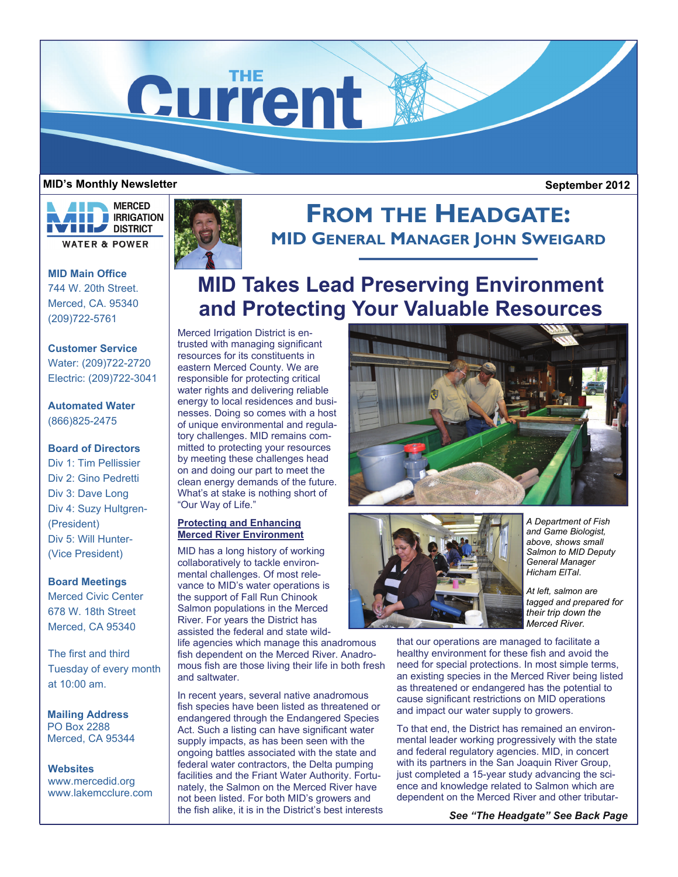

## **MID's Monthly Newsletter**

 **September 2012** 



**MID Main Office**  744 W. 20th Street. Merced, CA. 95340 (209)722-5761

**Customer Service**  Water: (209)722-2720 Electric: (209)722-3041

## **Automated Water**  (866)825-2475

## **Board of Directors**

Div 1: Tim Pellissier Div 2: Gino Pedretti Div 3: Dave Long Div 4: Suzy Hultgren- (President) Div 5: Will Hunter- (Vice President)

## **Board Meetings**

Merced Civic Center 678 W. 18th Street Merced, CA 95340

The first and third Tuesday of every month at 10:00 am.

**Mailing Address**  PO Box 2288 Merced, CA 95344

**Websites**  www.mercedid.org www.lakemcclure.com



# **FROM THE HEADGATE: MID GENERAL MANAGER JOHN SWEIGARD**

# **MID Takes Lead Preserving Environment and Protecting Your Valuable Resources**

Merced Irrigation District is entrusted with managing significant resources for its constituents in eastern Merced County. We are responsible for protecting critical water rights and delivering reliable energy to local residences and businesses. Doing so comes with a host of unique environmental and regulatory challenges. MID remains committed to protecting your resources by meeting these challenges head on and doing our part to meet the clean energy demands of the future. What's at stake is nothing short of "Our Way of Life."

## **Protecting and Enhancing Merced River Environment**

MID has a long history of working collaboratively to tackle environmental challenges. Of most relevance to MID's water operations is the support of Fall Run Chinook Salmon populations in the Merced River. For years the District has assisted the federal and state wild-

life agencies which manage this anadromous fish dependent on the Merced River. Anadromous fish are those living their life in both fresh and saltwater.

In recent years, several native anadromous fish species have been listed as threatened or endangered through the Endangered Species Act. Such a listing can have significant water supply impacts, as has been seen with the ongoing battles associated with the state and federal water contractors, the Delta pumping facilities and the Friant Water Authority. Fortunately, the Salmon on the Merced River have not been listed. For both MID's growers and the fish alike, it is in the District's best interests





*A Department of Fish and Game Biologist, above, shows small Salmon to MID Deputy General Manager Hicham ElTal*.

*At left, salmon are tagged and prepared for their trip down the Merced River.*

that our operations are managed to facilitate a healthy environment for these fish and avoid the need for special protections. In most simple terms, an existing species in the Merced River being listed as threatened or endangered has the potential to cause significant restrictions on MID operations and impact our water supply to growers.

To that end, the District has remained an environmental leader working progressively with the state and federal regulatory agencies. MID, in concert with its partners in the San Joaquin River Group, just completed a 15-year study advancing the science and knowledge related to Salmon which are dependent on the Merced River and other tributar-

*See "The Headgate" See Back Page*